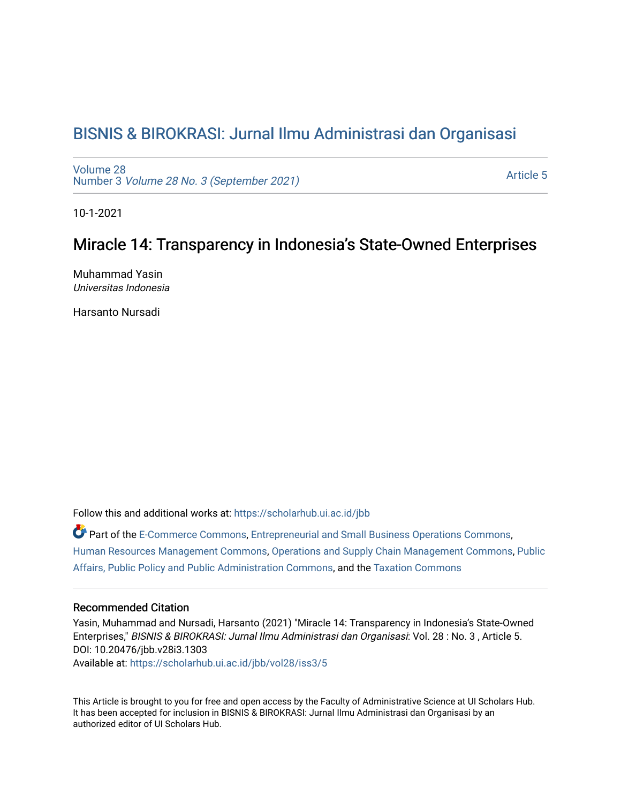# [BISNIS & BIROKRASI: Jurnal Ilmu Administrasi dan Organisasi](https://scholarhub.ui.ac.id/jbb)

[Volume 28](https://scholarhub.ui.ac.id/jbb/vol28) Number 3 [Volume 28 No. 3 \(September 2021\)](https://scholarhub.ui.ac.id/jbb/vol28/iss3) 

[Article 5](https://scholarhub.ui.ac.id/jbb/vol28/iss3/5) 

10-1-2021

## Miracle 14: Transparency in Indonesia's State-Owned Enterprises

Muhammad Yasin Universitas Indonesia

Harsanto Nursadi

Follow this and additional works at: [https://scholarhub.ui.ac.id/jbb](https://scholarhub.ui.ac.id/jbb?utm_source=scholarhub.ui.ac.id%2Fjbb%2Fvol28%2Fiss3%2F5&utm_medium=PDF&utm_campaign=PDFCoverPages) 

Part of the [E-Commerce Commons](http://network.bepress.com/hgg/discipline/624?utm_source=scholarhub.ui.ac.id%2Fjbb%2Fvol28%2Fiss3%2F5&utm_medium=PDF&utm_campaign=PDFCoverPages), [Entrepreneurial and Small Business Operations Commons,](http://network.bepress.com/hgg/discipline/630?utm_source=scholarhub.ui.ac.id%2Fjbb%2Fvol28%2Fiss3%2F5&utm_medium=PDF&utm_campaign=PDFCoverPages) [Human Resources Management Commons,](http://network.bepress.com/hgg/discipline/633?utm_source=scholarhub.ui.ac.id%2Fjbb%2Fvol28%2Fiss3%2F5&utm_medium=PDF&utm_campaign=PDFCoverPages) [Operations and Supply Chain Management Commons,](http://network.bepress.com/hgg/discipline/1229?utm_source=scholarhub.ui.ac.id%2Fjbb%2Fvol28%2Fiss3%2F5&utm_medium=PDF&utm_campaign=PDFCoverPages) [Public](http://network.bepress.com/hgg/discipline/393?utm_source=scholarhub.ui.ac.id%2Fjbb%2Fvol28%2Fiss3%2F5&utm_medium=PDF&utm_campaign=PDFCoverPages)  [Affairs, Public Policy and Public Administration Commons](http://network.bepress.com/hgg/discipline/393?utm_source=scholarhub.ui.ac.id%2Fjbb%2Fvol28%2Fiss3%2F5&utm_medium=PDF&utm_campaign=PDFCoverPages), and the [Taxation Commons](http://network.bepress.com/hgg/discipline/643?utm_source=scholarhub.ui.ac.id%2Fjbb%2Fvol28%2Fiss3%2F5&utm_medium=PDF&utm_campaign=PDFCoverPages)

## Recommended Citation

Yasin, Muhammad and Nursadi, Harsanto (2021) "Miracle 14: Transparency in Indonesia's State-Owned Enterprises," BISNIS & BIROKRASI: Jurnal Ilmu Administrasi dan Organisasi: Vol. 28 : No. 3 , Article 5. DOI: 10.20476/jbb.v28i3.1303

Available at: [https://scholarhub.ui.ac.id/jbb/vol28/iss3/5](https://scholarhub.ui.ac.id/jbb/vol28/iss3/5?utm_source=scholarhub.ui.ac.id%2Fjbb%2Fvol28%2Fiss3%2F5&utm_medium=PDF&utm_campaign=PDFCoverPages) 

This Article is brought to you for free and open access by the Faculty of Administrative Science at UI Scholars Hub. It has been accepted for inclusion in BISNIS & BIROKRASI: Jurnal Ilmu Administrasi dan Organisasi by an authorized editor of UI Scholars Hub.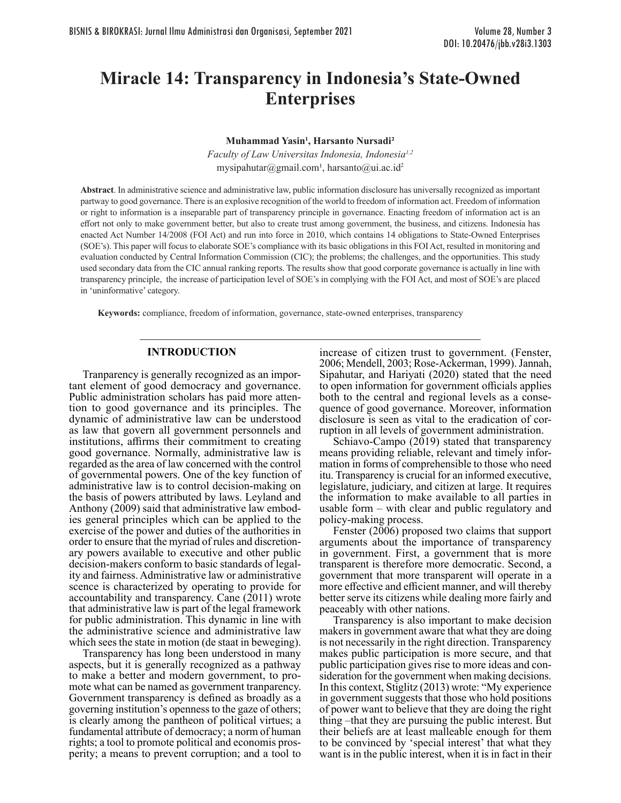# **Miracle 14: Transparency in Indonesia's State-Owned Enterprises**

**Muhammad Yasin1 , Harsanto Nursadi2**

*Faculty of Law Universitas Indonesia, Indonesia1,2* mysipahutar@gmail.com<sup>1</sup>, harsanto@ui.ac.id<sup>2</sup>

**Abstract**. In administrative science and administrative law, public information disclosure has universally recognized as important partway to good governance. There is an explosive recognition of the world to freedom of information act. Freedom of information or right to information is a inseparable part of transparency principle in governance. Enacting freedom of information act is an effort not only to make government better, but also to create trust among government, the business, and citizens. Indonesia has enacted Act Number 14/2008 (FOI Act) and run into force in 2010, which contains 14 obligations to State-Owned Enterprises (SOE's). This paper will focus to elaborate SOE's compliance with its basic obligations in this FOI Act, resulted in monitoring and evaluation conducted by Central Information Commission (CIC); the problems; the challenges, and the opportunities. This study used secondary data from the CIC annual ranking reports. The results show that good corporate governance is actually in line with transparency principle, the increase of participation level of SOE's in complying with the FOI Act, and most of SOE's are placed in 'uninformative' category.

**Keywords:** compliance, freedom of information, governance, state-owned enterprises, transparency

### **INTRODUCTION**

Tranparency is generally recognized as an important element of good democracy and governance. Public administration scholars has paid more attention to good governance and its principles. The dynamic of administrative law can be understood as law that govern all government personnels and institutions, affirms their commitment to creating good governance. Normally, administrative law is regarded as the area of law concerned with the control of governmental powers. One of the key function of administrative law is to control decision-making on the basis of powers attributed by laws. Leyland and Anthony (2009) said that administrative law embodies general principles which can be applied to the exercise of the power and duties of the authorities in order to ensure that the myriad of rules and discretionary powers available to executive and other public decision-makers conform to basic standards of legality and fairness. Administrative law or administrative scence is characterized by operating to provide for accountability and transparency. Cane (2011) wrote that administrative law is part of the legal framework for public administration. This dynamic in line with the administrative science and administrative law which sees the state in motion (de staat in beweging).

Transparency has long been understood in many aspects, but it is generally recognized as a pathway to make a better and modern government, to pro- mote what can be named as government tranparency. Government transparency is defined as broadly as a governing institution's openness to the gaze of others; is clearly among the pantheon of political virtues; a fundamental attribute of democracy; a norm of human rights; a tool to promote political and economis pros perity; a means to prevent corruption; and a tool to

increase of citizen trust to government. (Fenster, 2006; Mendell, 2003; Rose-Ackerman, 1999). Jannah, Sipahutar, and Hariyati (2020) stated that the need to open information for government officials applies both to the central and regional levels as a consequence of good governance. Moreover, information disclosure is seen as vital to the eradication of corruption in all levels of government administration.

Schiavo-Campo (2019) stated that transparency means providing reliable, relevant and timely infor mation in forms of comprehensible to those who need itu. Transparency is crucial for an informed executive, legislature, judiciary, and citizen at large. It requires the information to make available to all parties in usable form – with clear and public regulatory and policy-making process.

Fenster (2006) proposed two claims that support arguments about the importance of transparency in government. First, a government that is more transparent is therefore more democratic. Second, a government that more transparent will operate in a more effective and efficient manner, and will thereby better serve its citizens while dealing more fairly and peaceably with other nations.

Transparency is also important to make decision makers in government aware that what they are doing is not necessarily in the right direction. Transparency makes public participation is more secure, and that public participation gives rise to more ideas and con sideration for the government when making decisions. In this context, Stiglitz (2013) wrote: "My experience in government suggests that those who hold positions of power want to believe that they are doing the right thing –that they are pursuing the public interest. But their beliefs are at least malleable enough for them to be convinced by 'special interest' that what they want is in the public interest, when it is in fact in their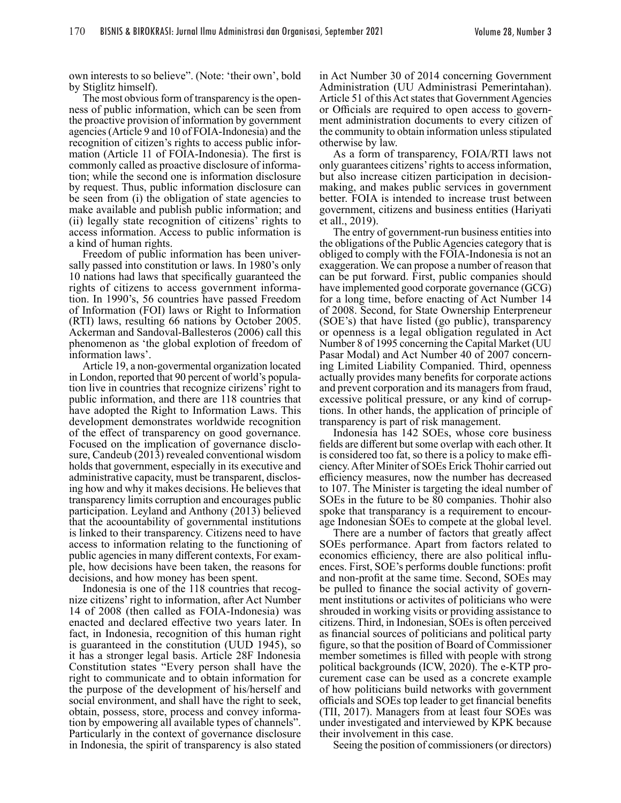own interests to so believe". (Note: 'their own', bold by Stiglitz himself).

The most obvious form of transparency is the openness of public information, which can be seen from the proactive provision of information by government agencies (Article 9 and 10 of FOIA-Indonesia) and the recognition of citizen's rights to access public infor- mation (Article 11 of FOIA-Indonesia). The first is commonly called as proactive disclosure of informa- tion; while the second one is information disclosure by request. Thus, public information disclosure can be seen from (i) the obligation of state agencies to make available and publish public information; and (ii) legally state recognition of citizens' rights to access information. Access to public information is a kind of human rights.

Freedom of public information has been univer-<br>sally passed into constitution or laws. In 1980's only 10 nations had laws that specifically guaranteed the rights of citizens to access government information. In 1990's, 56 countries have passed Freedom of Information (FOI) laws or Right to Information (RTI) laws, resulting 66 nations by October 2005. Ackerman and Sandoval-Ballesteros (2006) call this phenomenon as 'the global explotion of freedom of information laws'.

Article 19, a non-govermental organization located in London, reported that 90 percent of world's population live in countries that recognize cirizens' right to public information, and there are 118 countries that have adopted the Right to Information Laws. This development demonstrates worldwide recognition of the effect of transparency on good governance. Focused on the implication of governance disclo- sure, Candeub (2013) revealed conventional wisdom holds that government, especially in its executive and administrative capacity, must be transparent, disclosing how and why it makes decisions. He believes that transparency limits corruption and encourages public participation. Leyland and Anthony (2013) believed that the acoountability of governmental institutions is linked to their transparency. Citizens need to have access to information relating to the functioning of public agencies in many different contexts, For example, how decisions have been taken, the reasons for decisions, and how money has been spent.

Indonesia is one of the 118 countries that recognize citizens' right to information, after Act Number 14 of 2008 (then called as FOIA-Indonesia) was enacted and declared effective two years later. In fact, in Indonesia, recognition of this human right is guaranteed in the constitution (UUD 1945), so it has a stronger legal basis. Article 28F Indonesia Constitution states "Every person shall have the right to communicate and to obtain information for the purpose of the development of his/herself and social environment, and shall have the right to seek, obtain, possess, store, process and convey information by empowering all available types of channels". Particularly in the context of governance disclosure in Indonesia, the spirit of transparency is also stated in Act Number 30 of 2014 concerning Government Administration (UU Administrasi Pemerintahan). Article 51 of this Act states that Government Agencies or Officials are required to open access to govern- ment administration documents to every citizen of the community to obtain information unless stipulated otherwise by law.

As a form of transparency, FOIA/RTI laws not only guarantees citizens' rights to access information, but also increase citizen participation in decisionmaking, and makes public services in government better. FOIA is intended to increase trust between government, citizens and business entities (Hariyati et all., 2019).

The entry of government-run business entities into the obligations of the Public Agencies category that is obliged to comply with the FOIA-Indonesia is not an exaggeration. We can propose a number of reason that can be put forward. First, public companies should have implemented good corporate governance (GCG) for a long time, before enacting of Act Number 14 of 2008. Second, for State Ownership Enterpreneur (SOE's) that have listed (go public), transparency or openness is a legal obligation regulated in Act Number 8 of 1995 concerning the Capital Market (UU Pasar Modal) and Act Number 40 of 2007 concern- ing Limited Liability Companied. Third, openness actually provides many benefits for corporate actions and prevent corporation and its managers from fraud, excessive political pressure, or any kind of corrup- tions. In other hands, the application of principle of transparency is part of risk management.

Indonesia has 142 SOEs, whose core business fields are different but some overlap with each other. It is considered too fat, so there is a policy to make efficiency. After Miniter of SOEs Erick Thohir carried out efficiency measures, now the number has decreased to 107. The Minister is targeting the ideal number of SOEs in the future to be 80 companies. Thohir also spoke that transparancy is a requirement to encourage Indonesian SOEs to compete at the global level.

There are a number of factors that greatly affect SOEs performance. Apart from factors related to economics efficiency, there are also political influences. First, SOE's performs double functions: profit and non-profit at the same time. Second, SOEs may be pulled to finance the social activity of government institutions or activites of politicians who were shrouded in working visits or providing assistance to citizens. Third, in Indonesian, SOEs is often perceived as financial sources of politicians and political party figure, so that the position of Board of Commissioner member sometimes is filled with people with strong political backgrounds (ICW, 2020). The e-KTP procurement case can be used as a concrete example of how politicians build networks with government officials and SOEs top leader to get financial benefits (TII, 2017). Managers from at least four SOEs was under investigated and interviewed by KPK because their involvement in this case.

Seeing the position of commissioners (or directors)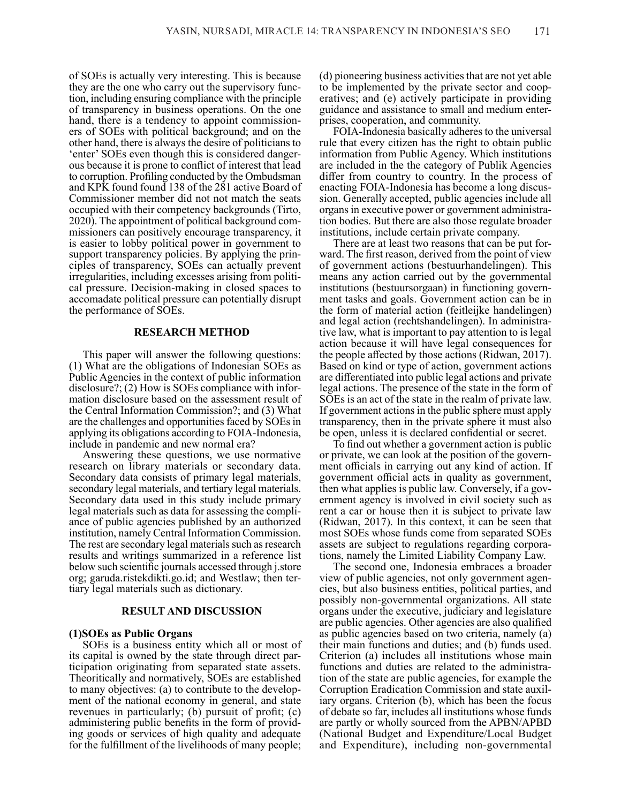of SOEs is actually very interesting. This is because they are the one who carry out the supervisory func tion, including ensuring compliance with the principle of transparency in business operations. On the one hand, there is a tendency to appoint commissioners of SOEs with political background; and on the other hand, there is always the desire of politicians to 'enter' SOEs even though this is considered danger- ous because it is prone to conflict of interest that lead to corruption. Profiling conducted by the Ombudsman and KPK found found 138 of the 281 active Board of Commissioner member did not not match the seats occupied with their competency backgrounds (Tirto, 2020). The appointment of political background commissioners can positively encourage transparency, it is easier to lobby political power in government to support transparency policies. By applying the prin- ciples of transparency, SOEs can actually prevent irregularities, including excesses arising from political pressure. Decision-making in closed spaces to accomadate political pressure can potentially disrupt the performance of SOEs.

#### **RESEARCH METHOD**

This paper will answer the following questions: (1) What are the obligations of Indonesian SOEs as Public Agencies in the context of public information disclosure?; (2) How is SOEs compliance with information disclosure based on the assessment result of the Central Information Commission?; and (3) What are the challenges and opportunities faced by SOEs in applying its obligations according to FOIA-Indonesia, include in pandemic and new normal era?

Answering these questions, we use normative research on library materials or secondary data. Secondary data consists of primary legal materials, secondary legal materials, and tertiary legal materials. Secondary data used in this study include primary legal materials such as data for assessing the compli- ance of public agencies published by an authorized institution, namely Central Information Commission. The rest are secondary legal materials such as research results and writings summarized in a reference list below such scientific journals accessed through j.store org; garuda.ristekdikti.go.id; and Westlaw; then tertiary legal materials such as dictionary.

#### **RESULT AND DISCUSSION**

#### **(1)SOEs as Public Organs**

SOEs is a business entity which all or most of its capital is owned by the state through direct participation originating from separated state assets. Theoritically and normatively, SOEs are established to many objectives: (a) to contribute to the development of the national economy in general, and state revenues in particularly; (b) pursuit of profit; (c) administering public benefits in the form of providing goods or services of high quality and adequate for the fulfillment of the livelihoods of many people;

(d) pioneering business activities that are not yet able to be implemented by the private sector and cooperatives; and (e) actively participate in providing guidance and assistance to small and medium enter- prises, cooperation, and community.

FOIA-Indonesia basically adheres to the universal rule that every citizen has the right to obtain public information from Public Agency. Which institutions are included in the the category of Publik Agencies differ from country to country. In the process of enacting FOIA-Indonesia has become a long discus- sion. Generally accepted, public agencies include all organs in executive power or government administration bodies. But there are also those regulate broader institutions, include certain private company.

There are at least two reasons that can be put for ward. The first reason, derived from the point of view of government actions (bestuurhandelingen). This means any action carried out by the governmental institutions (bestuursorgaan) in functioning govern- ment tasks and goals. Government action can be in the form of material action (feitleijke handelingen) and legal action (rechtshandelingen). In administra- tive law, what is important to pay attention to is legal action because it will have legal consequences for the people affected by those actions (Ridwan, 2017). Based on kind or type of action, government actions are differentiated into public legal actions and private legal actions. The presence of the state in the form of SOEs is an act of the state in the realm of private law. If government actions in the public sphere must apply transparency, then in the private sphere it must also be open, unless it is declared confidential or secret.

To find out whether a government action is public or private, we can look at the position of the government officials in carrying out any kind of action. If government official acts in quality as government, then what applies is public law. Conversely, if a government agency is involved in civil society such as rent a car or house then it is subject to private law (Ridwan, 2017). In this context, it can be seen that most SOEs whose funds come from separated SOEs assets are subject to regulations regarding corporations, namely the Limited Liability Company Law.

The second one, Indonesia embraces a broader view of public agencies, not only government agencies, but also business entities, political parties, and possibly non-governmental organizations. All state organs under the executive, judiciary and legislature are public agencies. Other agencies are also qualified as public agencies based on two criteria, namely (a) their main functions and duties; and (b) funds used. Criterion (a) includes all institutions whose main functions and duties are related to the administration of the state are public agencies, for example the Corruption Eradication Commission and state auxiliary organs. Criterion (b), which has been the focus of debate so far, includes all institutions whose funds are partly or wholly sourced from the APBN/APBD (National Budget and Expenditure/Local Budget and Expenditure), including non-governmental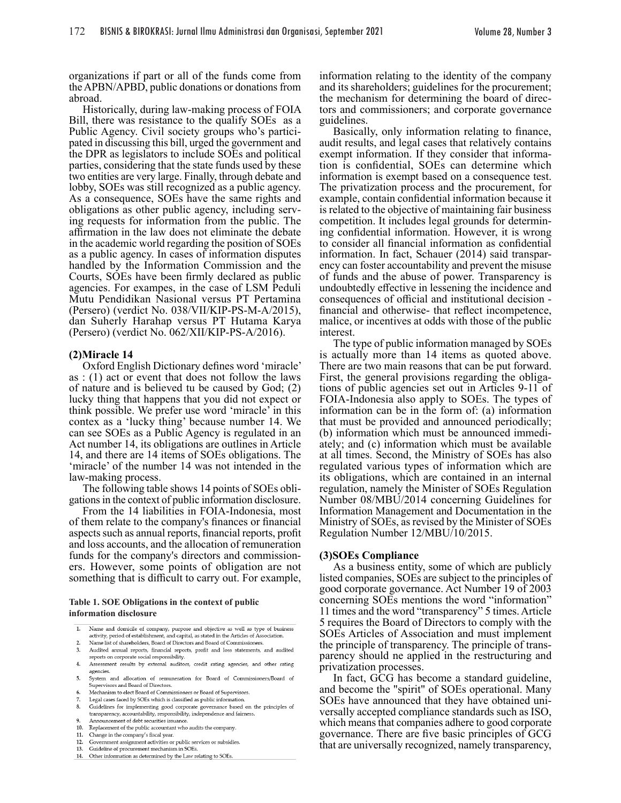organizations if part or all of the funds come from the APBN/APBD, public donations or donations from abroad.

Historically, during law-making process of FOIA Bill, there was resistance to the qualify SOEs as a Public Agency. Civil society groups who's partici pated in discussing this bill, urged the government and the DPR as legislators to include SOEs and political parties, considering that the state funds used by these two entities are very large. Finally, through debate and lobby, SOEs was still recognized as a public agency. As a consequence, SOEs have the same rights and obligations as other public agency, including serving requests for information from the public. The affirmation in the law does not eliminate the debate in the academic world regarding the position of SOEs as a public agency. In cases of information disputes handled by the Information Commission and the Courts, SOEs have been firmly declared as public agencies. For exampes, in the case of LSM Peduli Mutu Pendidikan Nasional versus PT Pertamina (Persero) (verdict No. 038/VII/KIP-PS-M-A/2015), dan Suherly Harahap versus PT Hutama Karya (Persero) (verdict No. 062/XII/KIP-PS-A/2016).

#### **(2)Miracle 14**

Oxford English Dictionary defines word 'miracle' as : (1) act or event that does not follow the laws of nature and is believed tu be caused by God; (2) lucky thing that happens that you did not expect or think possible. We prefer use word 'miracle' in this contex as a 'lucky thing' because number 14. We can see SOEs as a Public Agency is regulated in an Act number 14, its obligations are outlines in Article 14, and there are 14 items of SOEs obligations. The 'miracle' of the number 14 was not intended in the law-making process.

The following table shows 14 points of SOEs obligations in the context of public information disclosure.

From the 14 liabilities in FOIA-Indonesia, most of them relate to the company's finances or financial aspects such as annual reports, financial reports, profit and loss accounts, and the allocation of remuneration funds for the company's directors and commissioners. However, some points of obligation are not something that is difficult to carry out. For example,

#### **Table 1. SOE Obligations in the context of public information disclosure**

- Name and domicile of company, purpose and objective as well as type of business  $\overline{1}$
- activity, period of establishment, and capital, as stated in the Articles of Association.
- Name list of shareholders, Board of Directors and Board of Commissioners.  $\overline{2}$  $3.$ Audited annual reports, financial reports, profit and loss statements, and audited
- reports on corporate social responsibility. 4. Assessment results by external auditors, credit rating agencies, and other rating agencies
- System and allocation of remuneration for Board of Commissioners/Board of  $5.$ Supervisors and Board of Directors.
- Mechanism to elect Board of Commissioners or Board of Supervisors. 6.
- Legal cases faced by SOEs which is classified as public information. 7.
- Guidelines for implementing good corporate governance based on the principles of 8. transparency, accountability, responsibility, independence and fairness.
- Announcement of debt securities issuance.  $10.$
- Replacement of the public accountant who audits the company  $11.$
- Change in the company's fiscal year.
- Government assignment activities or public services or subsidies 12.
- 13. Guideline of procurement mechanism in SOEs 14. Other information as determined by the Law relating to SOEs.

information relating to the identity of the company and its shareholders; guidelines for the procurement; the mechanism for determining the board of directors and commissioners; and corporate governance guidelines.

Basically, only information relating to finance, audit results, and legal cases that relatively contains exempt information. If they consider that information is confidential, SOEs can determine which information is exempt based on a consequence test. The privatization process and the procurement, for example, contain confidential information because it is related to the objective of maintaining fair business competition. It includes legal grounds for determin- ing confidential information. However, it is wrong to consider all financial information as confidential information. In fact, Schauer (2014) said transparency can foster accountability and prevent the misuse of funds and the abuse of power. Transparency is undoubtedly effective in lessening the incidence and consequences of official and institutional decision financial and otherwise- that reflect incompetence, malice, or incentives at odds with those of the public interest.

The type of public information managed by SOEs is actually more than 14 items as quoted above. There are two main reasons that can be put forward. First, the general provisions regarding the obligations of public agencies set out in Articles 9-11 of FOIA-Indonesia also apply to SOEs. The types of information can be in the form of: (a) information that must be provided and announced periodically; (b) information which must be announced immediately; and (c) information which must be available at all times. Second, the Ministry of SOEs has also regulated various types of information which are its obligations, which are contained in an internal regulation, namely the Minister of SOEs Regulation Number 08/MBU/2014 concerning Guidelines for Information Management and Documentation in the Ministry of SOEs, as revised by the Minister of SOEs Regulation Number 12/MBU/10/2015.

#### **(3)SOEs Compliance**

As a business entity, some of which are publicly listed companies, SOEs are subject to the principles of good corporate governance. Act Number 19 of 2003 concerning SOEs mentions the word "information" 11 times and the word "transparency" 5 times. Article 5 requires the Board of Directors to comply with the SOEs Articles of Association and must implement the principle of transparency. The principle of transparency should ne applied in the restructuring and privatization processes.

In fact, GCG has become a standard guideline, and become the "spirit" of SOEs operational. Many SOEs have announced that they have obtained universally accepted compliance standards such as ISO, which means that companies adhere to good corporate governance. There are five basic principles of GCG that are universally recognized, namely transparency,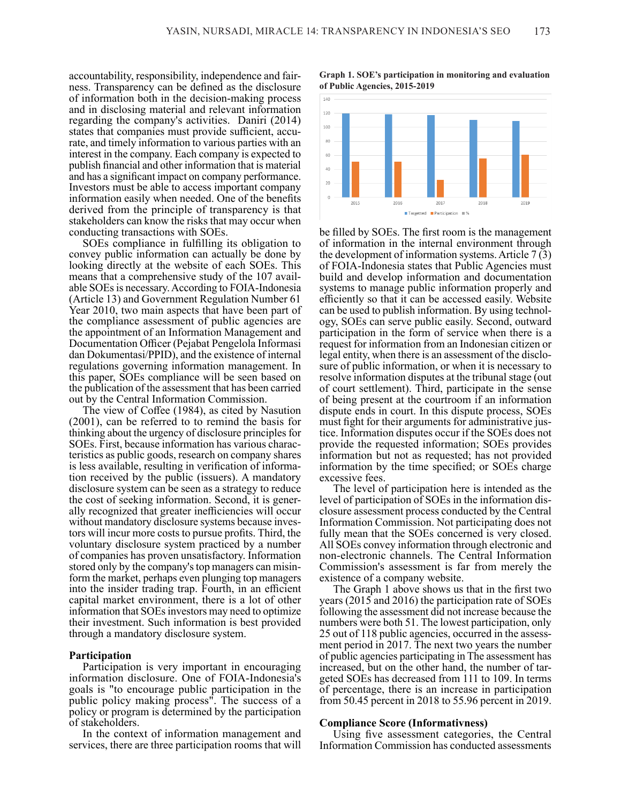accountability, responsibility, independence and fairness. Transparency can be defined as the disclosure of information both in the decision-making process and in disclosing material and relevant information regarding the company's activities. Daniri (2014) states that companies must provide sufficient, accu rate, and timely information to various parties with an interest in the company. Each company is expected to publish financial and other information that is material and has a significant impact on company performance. Investors must be able to access important company information easily when needed. One of the benefits derived from the principle of transparency is that stakeholders can know the risks that may occur when conducting transactions with SOEs.

SOEs compliance in fulfilling its obligation to convey public information can actually be done by looking directly at the website of each SOEs. This means that a comprehensive study of the 107 avail able SOEs is necessary. According to FOIA-Indonesia (Article 13) and Government Regulation Number 61 Year 2010, two main aspects that have been part of the compliance assessment of public agencies are the appointment of an Information Management and Documentation Officer (Pejabat Pengelola Informasi dan Dokumentasi/PPID), and the existence of internal regulations governing information management. In this paper, SOEs compliance will be seen based on the publication of the assessment that has been carried out by the Central Information Commission.

The view of Coffee (1984), as cited by Nasution (2001), can be referred to to remind the basis for thinking about the urgency of disclosure principles for SOEs. First, because information has various characteristics as public goods, research on company shares is less available, resulting in verification of information received by the public (issuers). A mandatory disclosure system can be seen as a strategy to reduce the cost of seeking information. Second, it is generally recognized that greater inefficiencies will occur without mandatory disclosure systems because investors will incur more costs to pursue profits. Third, the voluntary disclosure system practiced by a number of companies has proven unsatisfactory. Information stored only by the company's top managers can misinform the market, perhaps even plunging top managers into the insider trading trap. Fourth, in an efficient capital market environment, there is a lot of other information that SOEs investors may need to optimize their investment. Such information is best provided through a mandatory disclosure system.

#### **Participation**

Participation is very important in encouraging information disclosure. One of FOIA-Indonesia's goals is "to encourage public participation in the public policy making process". The success of a policy or program is determined by the participation of stakeholders.

In the context of information management and services, there are three participation rooms that will

**Graph 1. SOE's participation in monitoring and evaluation of Public Agencies, 2015-2019**



be filled by SOEs. The first room is the management of information in the internal environment through the development of information systems. Article 7 (3) of FOIA-Indonesia states that Public Agencies must build and develop information and documentation systems to manage public information properly and efficiently so that it can be accessed easily. Website can be used to publish information. By using technology, SOEs can serve public easily. Second, outward participation in the form of service when there is a request for information from an Indonesian citizen or legal entity, when there is an assessment of the disclosure of public information, or when it is necessary to resolve information disputes at the tribunal stage (out of court settlement). Third, participate in the sense of being present at the courtroom if an information dispute ends in court. In this dispute process, SOEs must fight for their arguments for administrative justice. Information disputes occur if the SOEs does not provide the requested information; SOEs provides information but not as requested; has not provided information by the time specified; or SOEs charge excessive fees.

The level of participation here is intended as the level of participation of SOEs in the information disclosure assessment process conducted by the Central Information Commission. Not participating does not fully mean that the SOEs concerned is very closed. All SOEs convey information through electronic and non-electronic channels. The Central Information Commission's assessment is far from merely the existence of a company website.

The Graph 1 above shows us that in the first two years (2015 and 2016) the participation rate of SOEs following the assessment did not increase because the numbers were both 51. The lowest participation, only 25 out of 118 public agencies, occurred in the assess ment period in 2017. The next two years the number of public agencies participating in The assessment has increased, but on the other hand, the number of targeted SOEs has decreased from 111 to 109. In terms of percentage, there is an increase in participation from 50.45 percent in 2018 to 55.96 percent in 2019.

#### **Compliance Score (Informativness)**

Using five assessment categories, the Central Information Commission has conducted assessments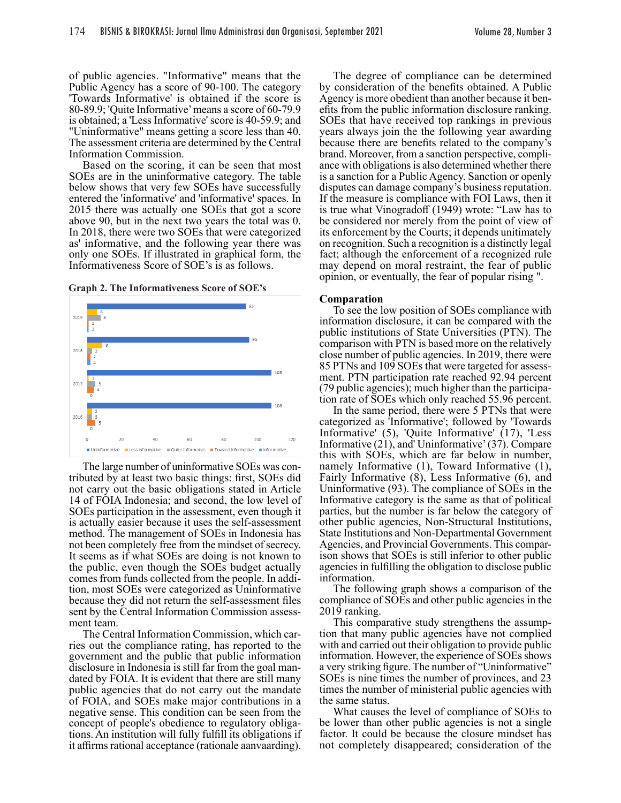of public agencies. "Informative" means that the Public Agency has a score of 90-100. The category 'Towards Informative' is obtained if the score is 80-89.9; 'Quite Informative' means a score of 60-79.9 is obtained; a 'Less Informative' score is 40-59.9; and "Uninformative" means getting a score less than 40. The assessment criteria are determined by the Central Information Commission.

Based on the scoring, it can be seen that most SOEs are in the uninformative category. The table below shows that very few SOEs have successfully entered the 'informative' and 'informative' spaces. In 2015 there was actually one SOEs that got a score above 90, but in the next two years the total was 0. In 2018, there were two SOEs that were categorized as' informative, and the following year there was only one SOEs. If illustrated in graphical form, the Informativeness Score of SOE's is as follows.





The large number of uninformative SOEs was contributed by at least two basic things: first, SOEs did not carry out the basic obligations stated in Article 14 of FOIA Indonesia; and second, the low level of SOEs participation in the assessment, even though it is actually easier because it uses the self-assessment method. The management of SOEs in Indonesia has not been completely free from the mindset of secrecy. It seems as if what SOEs are doing is not known to the public, even though the SOEs budget actually comes from funds collected from the people. In addi tion, most SOEs were categorized as Uninformative because they did not return the self-assessment files sent by the Central Information Commission assessment team.

The Central Information Commission, which carries out the compliance rating, has reported to the government and the public that public information disclosure in Indonesia is still far from the goal mandated by FOIA. It is evident that there are still many public agencies that do not carry out the mandate of FOIA, and SOEs make major contributions in a negative sense. This condition can be seen from the concept of people's obedience to regulatory obliga- tions. An institution will fully fulfill its obligations if it affirms rational acceptance (rationale aanvaarding).

The degree of compliance can be determined by consideration of the benefits obtained. A Public Agency is more obedient than another because it benefits from the public information disclosure ranking. SOEs that have received top rankings in previous years always join the the following year awarding because there are benefits related to the company's brand. Moreover, from a sanction perspective, compli ance with obligations is also determined whether there is a sanction for a Public Agency. Sanction or openly disputes can damage company's business reputation. If the measure is compliance with FOI Laws, then it is true what Vinogradoff (1949) wrote: "Law has to be considered nor merely from the point of view of its enforcement by the Courts; it depends unitimately on recognition. Such a recognition is a distinctly legal fact; although the enforcement of a recognized rule may depend on moral restraint, the fear of public opinion, or eventually, the fear of popular rising ".

#### **Comparation**

To see the low position of SOEs compliance with information disclosure, it can be compared with the public institutions of State Universities (PTN). The comparison with PTN is based more on the relatively close number of public agencies. In 2019, there were 85 PTNs and 109 SOEs that were targeted for assessment. PTN participation rate reached 92.94 percent (79 public agencies); much higher than the participa tion rate of SOEs which only reached 55.96 percent.

In the same period, there were 5 PTNs that were categorized as 'Informative'; followed by 'Towards Informative' (5), 'Quite Informative' (17), 'Less Informative (21), and' Uninformative' (37). Compare this with SOEs, which are far below in number, namely Informative (1), Toward Informative (1), Fairly Informative (8), Less Informative (6), and Uninformative (93). The compliance of SOEs in the Informative category is the same as that of political parties, but the number is far below the category of other public agencies, Non-Structural Institutions, State Institutions and Non-Departmental Government Agencies, and Provincial Governments. This comparison shows that SOEs is still inferior to other public agencies in fulfilling the obligation to disclose public information.

The following graph shows a comparison of the compliance of SOEs and other public agencies in the 2019 ranking.

This comparative study strengthens the assumption that many public agencies have not complied with and carried out their obligation to provide public information. However, the experience of SOEs shows a very striking figure. The number of "Uninformative" SOEs is nine times the number of provinces, and 23 times the number of ministerial public agencies with the same status.

What causes the level of compliance of SOEs to be lower than other public agencies is not a single factor. It could be because the closure mindset has not completely disappeared; consideration of the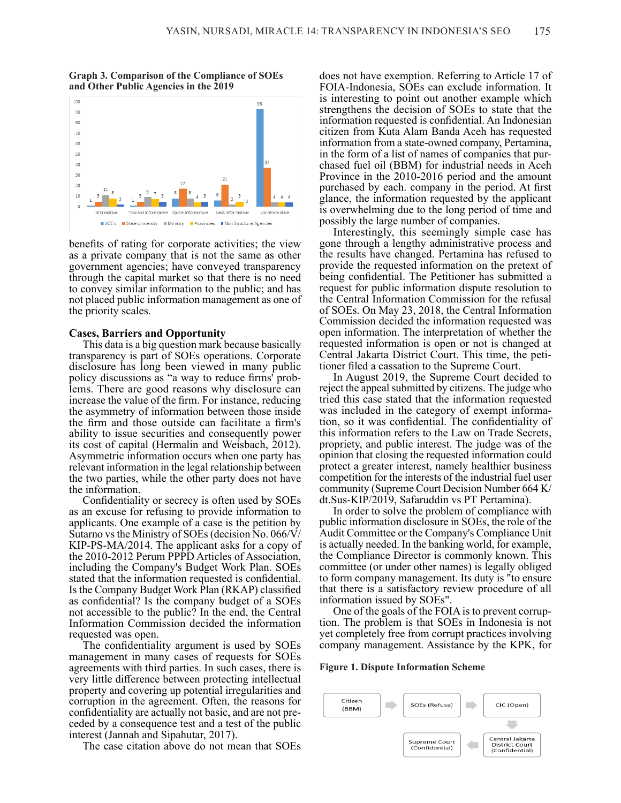**Graph 3. Comparison of the Compliance of SOEs and Other Public Agencies in the 2019**



benefits of rating for corporate activities; the view as a private company that is not the same as other government agencies; have conveyed transparency through the capital market so that there is no need to convey similar information to the public; and has not placed public information management as one of the priority scales.

#### **Cases, Barriers and Opportunity**

This data is a big question mark because basically transparency is part of SOEs operations. Corporate disclosure has long been viewed in many public policy discussions as "a way to reduce firms' problems. There are good reasons why disclosure can increase the value of the firm. For instance, reducing the asymmetry of information between those inside the firm and those outside can facilitate a firm's ability to issue securities and consequently power its cost of capital (Hermalin and Weisbach, 2012). Asymmetric information occurs when one party has relevant information in the legal relationship between the two parties, while the other party does not have the information.

Confidentiality or secrecy is often used by SOEs as an excuse for refusing to provide information to applicants. One example of a case is the petition by Sutarno vs the Ministry of SOEs (decision No. 066/V/ KIP-PS-MA/2014. The applicant asks for a copy of the 2010-2012 Perum PPPD Articles of Association, including the Company's Budget Work Plan. SOEs stated that the information requested is confidential. Is the Company Budget Work Plan (RKAP) classified as confidential? Is the company budget of a SOEs not accessible to the public? In the end, the Central Information Commission decided the information requested was open.

The confidentiality argument is used by SOEs management in many cases of requests for SOEs agreements with third parties. In such cases, there is very little difference between protecting intellectual property and covering up potential irregularities and corruption in the agreement. Often, the reasons for confidentiality are actually not basic, and are not preceded by a consequence test and a test of the public interest (Jannah and Sipahutar, 2017).

The case citation above do not mean that SOEs

does not have exemption. Referring to Article 17 of FOIA-Indonesia, SOEs can exclude information. It is interesting to point out another example which strengthens the decision of SOEs to state that the information requested is confidential. An Indonesian citizen from Kuta Alam Banda Aceh has requested information from a state-owned company, Pertamina, in the form of a list of names of companies that pur- chased fuel oil (BBM) for industrial needs in Aceh Province in the 2010-2016 period and the amount purchased by each. company in the period. At first glance, the information requested by the applicant is overwhelming due to the long period of time and possibly the large number of companies.

Interestingly, this seemingly simple case has gone through a lengthy administrative process and the results have changed. Pertamina has refused to provide the requested information on the pretext of being confidential. The Petitioner has submitted a request for public information dispute resolution to the Central Information Commission for the refusal of SOEs. On May 23, 2018, the Central Information Commission decided the information requested was open information. The interpretation of whether the requested information is open or not is changed at Central Jakarta District Court. This time, the petitioner filed a cassation to the Supreme Court.

In August 2019, the Supreme Court decided to reject the appeal submitted by citizens. The judge who tried this case stated that the information requested was included in the category of exempt information, so it was confidential. The confidentiality of this information refers to the Law on Trade Secrets, propriety, and public interest. The judge was of the opinion that closing the requested information could protect a greater interest, namely healthier business competition for the interests of the industrial fuel user community (Supreme Court Decision Number 664 K/ dt.Sus-KIP/2019, Safaruddin vs PT Pertamina).

In order to solve the problem of compliance with public information disclosure in SOEs, the role of the Audit Committee or the Company's Compliance Unit is actually needed. In the banking world, for example, the Compliance Director is commonly known. This committee (or under other names) is legally obliged to form company management. Its duty is "to ensure that there is a satisfactory review procedure of all information issued by SOEs".

One of the goals of the FOIA is to prevent corruption. The problem is that SOEs in Indonesia is not yet completely free from corrupt practices involving company management. Assistance by the KPK, for

**Figure 1. Dispute Information Scheme**

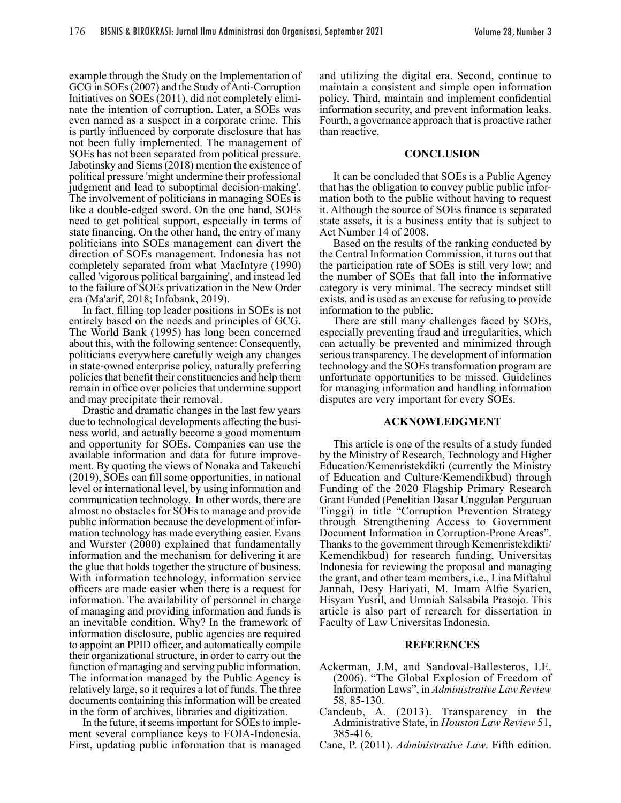example through the Study on the Implementation of GCG in SOEs (2007) and the Study of Anti-Corruption Initiatives on SOEs (2011), did not completely eliminate the intention of corruption. Later, a SOEs was even named as a suspect in a corporate crime. This is partly influenced by corporate disclosure that has not been fully implemented. The management of SOEs has not been separated from political pressure. Jabotinsky and Siems (2018) mention the existence of political pressure 'might undermine their professional judgment and lead to suboptimal decision-making'. The involvement of politicians in managing SOEs is like a double-edged sword. On the one hand, SOEs need to get political support, especially in terms of state financing. On the other hand, the entry of many politicians into SOEs management can divert the direction of SOEs management. Indonesia has not completely separated from what MacIntyre (1990) called 'vigorous political bargaining', and instead led to the failure of SOEs privatization in the New Order era (Ma'arif, 2018; Infobank, 2019).

In fact, filling top leader positions in SOEs is not entirely based on the needs and principles of GCG. The World Bank (1995) has long been concerned about this, with the following sentence: Consequently, politicians everywhere carefully weigh any changes in state-owned enterprise policy, naturally preferring policies that benefit their constituencies and help them remain in office over policies that undermine support and may precipitate their removal.

Drastic and dramatic changes in the last few years due to technological developments affecting the business world, and actually become a good momentum and opportunity for SOEs. Companies can use the available information and data for future improvement. By quoting the views of Nonaka and Takeuchi (2019), SOEs can fill some opportunities, in national level or international level, by using information and communication technology. In other words, there are almost no obstacles for SOEs to manage and provide public information because the development of information technology has made everything easier. Evans and Wurster (2000) explained that fundamentally information and the mechanism for delivering it are the glue that holds together the structure of business. With information technology, information service officers are made easier when there is a request for information. The availability of personnel in charge of managing and providing information and funds is an inevitable condition. Why? In the framework of information disclosure, public agencies are required to appoint an PPID officer, and automatically compile their organizational structure, in order to carry out the function of managing and serving public information. The information managed by the Public Agency is relatively large, so it requires a lot of funds. The three documents containing this information will be created in the form of archives, libraries and digitization.

In the future, it seems important for SOEs to implement several compliance keys to FOIA-Indonesia. First, updating public information that is managed and utilizing the digital era. Second, continue to maintain a consistent and simple open information policy. Third, maintain and implement confidential information security, and prevent information leaks. Fourth, a governance approach that is proactive rather than reactive.

#### **CONCLUSION**

It can be concluded that SOEs is a Public Agency that has the obligation to convey public public infor- mation both to the public without having to request it. Although the source of SOEs finance is separated state assets, it is a business entity that is subject to Act Number 14 of 2008.

Based on the results of the ranking conducted by the Central Information Commission, it turns out that the participation rate of SOEs is still very low; and the number of SOEs that fall into the informative category is very minimal. The secrecy mindset still exists, and is used as an excuse for refusing to provide information to the public.

There are still many challenges faced by SOEs, especially preventing fraud and irregularities, which can actually be prevented and minimized through serious transparency. The development of information technology and the SOEs transformation program are unfortunate opportunities to be missed. Guidelines for managing information and handling information disputes are very important for every SOEs.

#### **ACKNOWLEDGMENT**

This article is one of the results of a study funded by the Ministry of Research, Technology and Higher Education/Kemenristekdikti (currently the Ministry of Education and Culture/Kemendikbud) through Funding of the 2020 Flagship Primary Research Grant Funded (Penelitian Dasar Unggulan Perguruan Tinggi) in title "Corruption Prevention Strategy through Strengthening Access to Government Document Information in Corruption-Prone Areas". Thanks to the government through Kemenristekdikti/ Kemendikbud) for research funding, Universitas Indonesia for reviewing the proposal and managing the grant, and other team members, i.e., Lina Miftahul Jannah, Desy Hariyati, M. Imam Alfie Syarien, Hisyam Yusril, and Umniah Salsabila Prasojo. This article is also part of rerearch for dissertation in Faculty of Law Universitas Indonesia.

#### **REFERENCES**

- Ackerman, J.M, and Sandoval-Ballesteros, I.E. (2006). "The Global Explosion of Freedom of Information Laws", in *Administrative Law Review* 58, 85-130.
- Candeub, A. (2013). Transparency in the Administrative State, in *Houston Law Review* 51, 385-416.
- Cane, P. (2011). *Administrative Law*. Fifth edition.